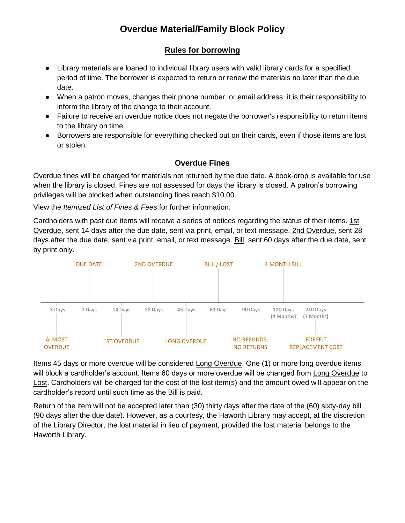# **Overdue Material/Family Block Policy**

## **Rules for borrowing**

- Library materials are loaned to individual library users with valid library cards for a specified period of time. The borrower is expected to return or renew the materials no later than the due date.
- When a patron moves, changes their phone number, or email address, it is their responsibility to inform the library of the change to their account.
- Failure to receive an overdue notice does not negate the borrower's responsibility to return items to the library on time.
- Borrowers are responsible for everything checked out on their cards, even if those items are lost or stolen.

# **Overdue Fines**

Overdue fines will be charged for materials not returned by the due date. A book-drop is available for use when the library is closed. Fines are not assessed for days the library is closed. A patron's borrowing privileges will be blocked when outstanding fines reach \$10.00.

View the *Itemized List of Fines & Fees* for further information.

Cardholders with past due items will receive a series of notices regarding the status of their items. 1st Overdue, sent 14 days after the due date, sent via print, email, or text message. 2nd Overdue, sent 28 days after the due date, sent via print, email, or text message. Bill, sent 60 days after the due date, sent by print only.



Items 45 days or more overdue will be considered Long Overdue. One (1) or more long overdue items will block a cardholder's account. Items 60 days or more overdue will be changed from Long Overdue to Lost. Cardholders will be charged for the cost of the lost item(s) and the amount owed will appear on the cardholder's record until such time as the **Bill** is paid.

Return of the item will not be accepted later than (30) thirty days after the date of the (60) sixty-day bill (90 days after the due date). However, as a courtesy, the Haworth Library may accept, at the discretion of the Library Director, the lost material in lieu of payment, provided the lost material belongs to the Haworth Library.